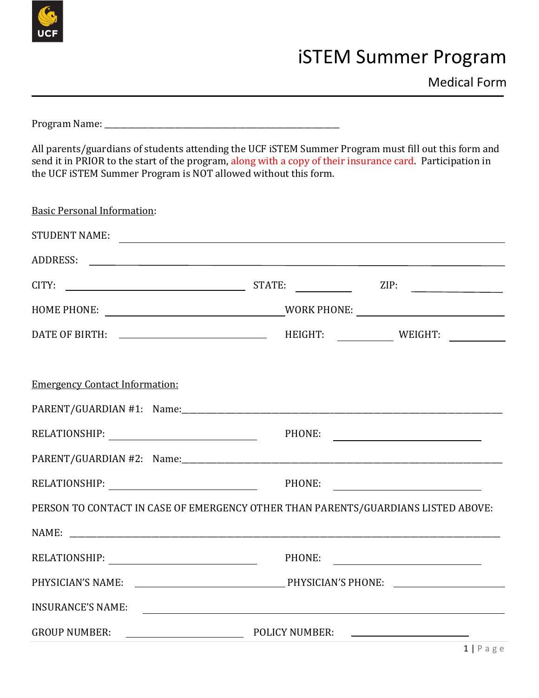

## iSTEM Summer Program

Medical Form

Program Name: \_\_\_\_\_\_\_\_\_\_\_\_\_\_\_\_\_\_\_\_\_\_\_\_\_\_\_\_\_\_\_\_\_\_\_\_\_\_\_\_\_\_\_\_\_\_\_\_\_\_\_\_\_\_\_\_\_\_\_\_

All parents/guardians of students attending the UCF iSTEM Summer Program must fill out this form and send it in PRIOR to the start of the program, along with a copy of their insurance card. Participation in the UCF iSTEM Summer Program is NOT allowed without this form.

| <b>Basic Personal Information:</b>                                                                                                                                                                                                                               |                                                                                                                      |
|------------------------------------------------------------------------------------------------------------------------------------------------------------------------------------------------------------------------------------------------------------------|----------------------------------------------------------------------------------------------------------------------|
| STUDENT NAME:                                                                                                                                                                                                                                                    |                                                                                                                      |
|                                                                                                                                                                                                                                                                  |                                                                                                                      |
| CITY: $\qquad \qquad \qquad \text{CITY:} \qquad \qquad \text{ZIP:}$                                                                                                                                                                                              | <u> 1980 - Jan Stein Stein Stein Stein Stein Stein Stein Stein Stein Stein Stein Stein Stein Stein Stein Stein S</u> |
|                                                                                                                                                                                                                                                                  |                                                                                                                      |
|                                                                                                                                                                                                                                                                  |                                                                                                                      |
|                                                                                                                                                                                                                                                                  |                                                                                                                      |
| <b>Emergency Contact Information:</b>                                                                                                                                                                                                                            |                                                                                                                      |
|                                                                                                                                                                                                                                                                  |                                                                                                                      |
| RELATIONSHIP: PHONE:                                                                                                                                                                                                                                             |                                                                                                                      |
|                                                                                                                                                                                                                                                                  |                                                                                                                      |
|                                                                                                                                                                                                                                                                  |                                                                                                                      |
| PERSON TO CONTACT IN CASE OF EMERGENCY OTHER THAN PARENTS/GUARDIANS LISTED ABOVE:                                                                                                                                                                                |                                                                                                                      |
|                                                                                                                                                                                                                                                                  |                                                                                                                      |
| RELATIONSHIP: PHONE: PHONE:                                                                                                                                                                                                                                      |                                                                                                                      |
|                                                                                                                                                                                                                                                                  |                                                                                                                      |
| <b>INSURANCE'S NAME:</b><br><u> 1989 - Johann John Stein, markin fan it fjort fan it fjort fan it fjort fan it fjort fan it fjort fan it fjort fan it fjort fan it fjort fan it fjort fan it fjort fan it fjort fan it fjort fan it fjort fan it fjort fan i</u> |                                                                                                                      |
| POLICY NUMBER:<br><b>GROUP NUMBER:</b>                                                                                                                                                                                                                           | <u> 1990 - John Barn Barn, amerikan besteht in de</u>                                                                |